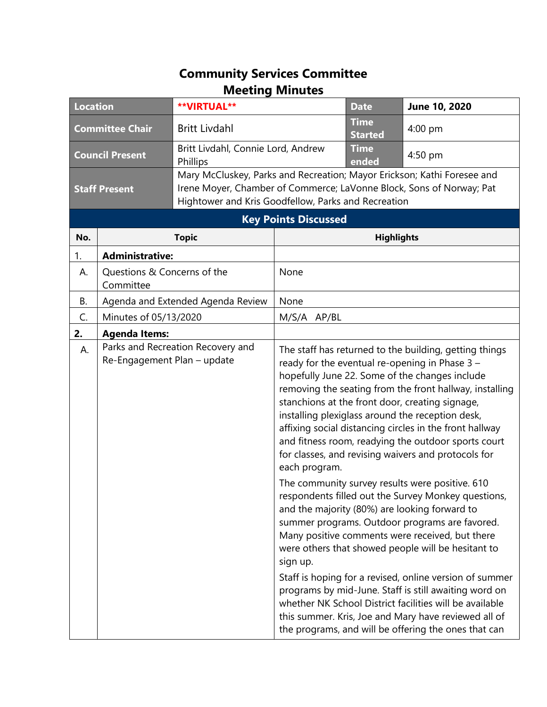## **Community Services Committee Meeting Minutes**

| <b>Location</b>             |                                          | <b>**VIRTUAL**</b>                                                                                                                                                                                     |                   | <b>Date</b>                   | June 10, 2020                                                                                                                                                                                                                                                                                                                                                                                                                                                                                                                                                                                                     |  |
|-----------------------------|------------------------------------------|--------------------------------------------------------------------------------------------------------------------------------------------------------------------------------------------------------|-------------------|-------------------------------|-------------------------------------------------------------------------------------------------------------------------------------------------------------------------------------------------------------------------------------------------------------------------------------------------------------------------------------------------------------------------------------------------------------------------------------------------------------------------------------------------------------------------------------------------------------------------------------------------------------------|--|
| <b>Committee Chair</b>      |                                          | <b>Britt Livdahl</b>                                                                                                                                                                                   |                   | <b>Time</b><br><b>Started</b> | $4:00$ pm                                                                                                                                                                                                                                                                                                                                                                                                                                                                                                                                                                                                         |  |
| <b>Council Present</b>      |                                          | Britt Livdahl, Connie Lord, Andrew<br>Phillips                                                                                                                                                         |                   | <b>Time</b><br>ended          | 4:50 pm                                                                                                                                                                                                                                                                                                                                                                                                                                                                                                                                                                                                           |  |
| <b>Staff Present</b>        |                                          | Mary McCluskey, Parks and Recreation; Mayor Erickson; Kathi Foresee and<br>Irene Moyer, Chamber of Commerce; LaVonne Block, Sons of Norway; Pat<br>Hightower and Kris Goodfellow, Parks and Recreation |                   |                               |                                                                                                                                                                                                                                                                                                                                                                                                                                                                                                                                                                                                                   |  |
| <b>Key Points Discussed</b> |                                          |                                                                                                                                                                                                        |                   |                               |                                                                                                                                                                                                                                                                                                                                                                                                                                                                                                                                                                                                                   |  |
| No.                         | <b>Topic</b>                             |                                                                                                                                                                                                        | <b>Highlights</b> |                               |                                                                                                                                                                                                                                                                                                                                                                                                                                                                                                                                                                                                                   |  |
| 1.                          | <b>Administrative:</b>                   |                                                                                                                                                                                                        |                   |                               |                                                                                                                                                                                                                                                                                                                                                                                                                                                                                                                                                                                                                   |  |
| А.                          | Questions & Concerns of the<br>Committee |                                                                                                                                                                                                        | None              |                               |                                                                                                                                                                                                                                                                                                                                                                                                                                                                                                                                                                                                                   |  |
| <b>B.</b>                   | Agenda and Extended Agenda Review        |                                                                                                                                                                                                        | None              |                               |                                                                                                                                                                                                                                                                                                                                                                                                                                                                                                                                                                                                                   |  |
| C.                          | Minutes of 05/13/2020                    |                                                                                                                                                                                                        | M/S/A AP/BL       |                               |                                                                                                                                                                                                                                                                                                                                                                                                                                                                                                                                                                                                                   |  |
| 2.                          | <b>Agenda Items:</b>                     |                                                                                                                                                                                                        |                   |                               |                                                                                                                                                                                                                                                                                                                                                                                                                                                                                                                                                                                                                   |  |
| А.                          | Re-Engagement Plan - update              | Parks and Recreation Recovery and                                                                                                                                                                      | each program.     |                               | The staff has returned to the building, getting things<br>ready for the eventual re-opening in Phase 3 -<br>hopefully June 22. Some of the changes include<br>removing the seating from the front hallway, installing<br>stanchions at the front door, creating signage,<br>installing plexiglass around the reception desk,<br>affixing social distancing circles in the front hallway<br>and fitness room, readying the outdoor sports court<br>for classes, and revising waivers and protocols for                                                                                                             |  |
|                             |                                          |                                                                                                                                                                                                        | sign up.          |                               | The community survey results were positive. 610<br>respondents filled out the Survey Monkey questions,<br>and the majority (80%) are looking forward to<br>summer programs. Outdoor programs are favored.<br>Many positive comments were received, but there<br>were others that showed people will be hesitant to<br>Staff is hoping for a revised, online version of summer<br>programs by mid-June. Staff is still awaiting word on<br>whether NK School District facilities will be available<br>this summer. Kris, Joe and Mary have reviewed all of<br>the programs, and will be offering the ones that can |  |